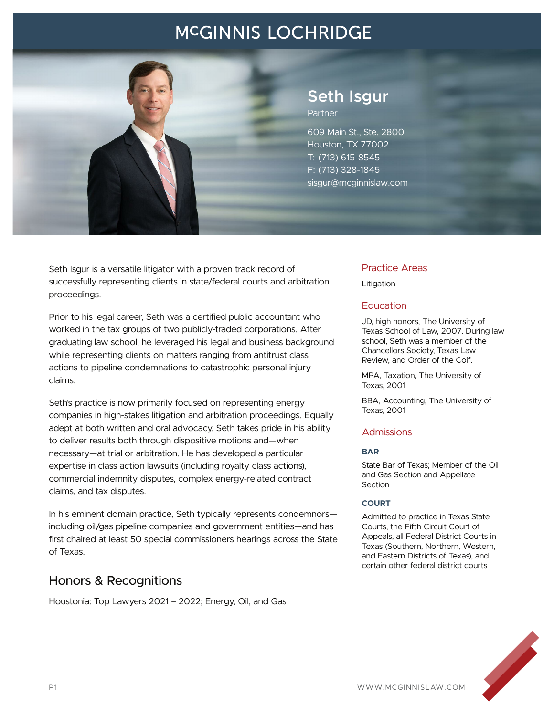# **MCGINNIS LOCHRIDGE**



## **Seth Isgur** Partner

609 Main St., Ste. 2800 Houston, TX 77002 T: (713) 615-8545 F: (713) 328-1845 sisgur@mcginnislaw.com

Seth Isgur is a versatile litigator with a proven track record of successfully representing clients in state/federal courts and arbitration proceedings.

Prior to his legal career, Seth was a certified public accountant who worked in the tax groups of two publicly-traded corporations. After graduating law school, he leveraged his legal and business background while representing clients on matters ranging from antitrust class actions to pipeline condemnations to catastrophic personal injury claims.

Seth's practice is now primarily focused on representing energy companies in high-stakes litigation and arbitration proceedings. Equally adept at both written and oral advocacy, Seth takes pride in his ability to deliver results both through dispositive motions and—when necessary—at trial or arbitration. He has developed a particular expertise in class action lawsuits (including royalty class actions), commercial indemnity disputes, complex energy-related contract claims, and tax disputes.

In his eminent domain practice, Seth typically represents condemnors including oil/gas pipeline companies and government entities—and has first chaired at least 50 special commissioners hearings across the State of Texas.

# Honors & Recognitions

Houstonia: Top Lawyers 2021 – 2022; Energy, Oil, and Gas

### Practice Areas

Litigation

### **Education**

JD, high honors, The University of Texas School of Law, 2007. During law school, Seth was a member of the Chancellors Society, Texas Law Review, and Order of the Coif.

MPA, Taxation, The University of Texas, 2001

BBA, Accounting, The University of Texas, 2001

### **Admissions**

#### **BAR**

State Bar of Texas; Member of the Oil and Gas Section and Appellate Section

#### **COURT**

Admitted to practice in Texas State Courts, the Fifth Circuit Court of Appeals, all Federal District Courts in Texas (Southern, Northern, Western, and Eastern Districts of Texas), and certain other federal district courts

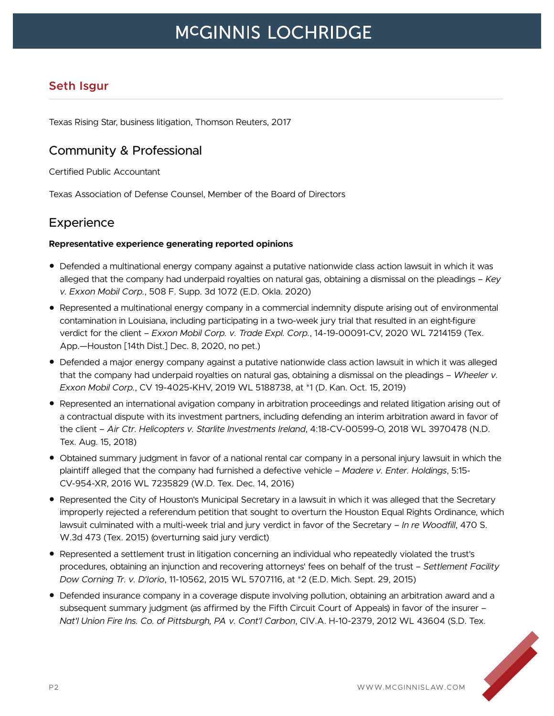# **MCGINNIS LOCHRIDGE**

# **Seth Isgur**

Texas Rising Star, business litigation, Thomson Reuters, 2017

## Community & Professional

Certified Public Accountant

Texas Association of Defense Counsel, Member of the Board of Directors

# **Experience**

### **Representative experience generating reported opinions**

- Defended a multinational energy company against a putative nationwide class action lawsuit in which it was alleged that the company had underpaid royalties on natural gas, obtaining a dismissal on the pleadings – *Key v. Exxon Mobil Corp.*, 508 F. Supp. 3d 1072 (E.D. Okla. 2020)
- Represented a multinational energy company in a commercial indemnity dispute arising out of environmental contamination in Louisiana, including participating in a two-week jury trial that resulted in an eight-figure verdict for the client – *Exxon Mobil Corp. v. Trade Expl. Corp.*, 14-19-00091-CV, 2020 WL 7214159 (Tex. App.—Houston [14th Dist.] Dec. 8, 2020, no pet.)
- Defended a major energy company against a putative nationwide class action lawsuit in which it was alleged that the company had underpaid royalties on natural gas, obtaining a dismissal on the pleadings – *Wheeler v. Exxon Mobil Corp.*, CV 19-4025-KHV, 2019 WL 5188738, at \*1 (D. Kan. Oct. 15, 2019)
- Represented an international avigation company in arbitration proceedings and related litigation arising out of a contractual dispute with its investment partners, including defending an interim arbitration award in favor of the client – *Air Ctr. Helicopters v. Starlite Investments Ireland*, 4:18-CV-00599-O, 2018 WL 3970478 (N.D. Tex. Aug. 15, 2018)
- Obtained summary judgment in favor of a national rental car company in a personal injury lawsuit in which the plaintiff alleged that the company had furnished a defective vehicle – *Madere v. Enter. Holdings*, 5:15- CV-954-XR, 2016 WL 7235829 (W.D. Tex. Dec. 14, 2016)
- Represented the City of Houston's Municipal Secretary in a lawsuit in which it was alleged that the Secretary improperly rejected a referendum petition that sought to overturn the Houston Equal Rights Ordinance, which lawsuit culminated with a multi-week trial and jury verdict in favor of the Secretary – *In re Woodfill*, 470 S. W.3d 473 (Tex. 2015) (overturning said jury verdict)
- Represented a settlement trust in litigation concerning an individual who repeatedly violated the trust's procedures, obtaining an injunction and recovering attorneys' fees on behalf of the trust – *Settlement Facility Dow Corning Tr. v. D'Iorio*, 11-10562, 2015 WL 5707116, at \*2 (E.D. Mich. Sept. 29, 2015)
- Defended insurance company in a coverage dispute involving pollution, obtaining an arbitration award and a subsequent summary judgment (as affirmed by the Fifth Circuit Court of Appeals) in favor of the insurer – *Nat'l Union Fire Ins. Co. of Pittsburgh, PA v. Cont'l Carbon*, CIV.A. H-10-2379, 2012 WL 43604 (S.D. Tex.

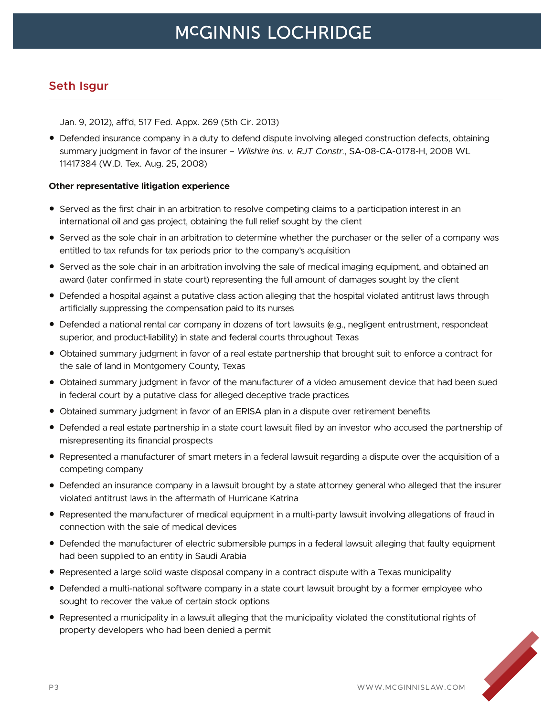## **Seth Isgur**

Jan. 9, 2012), aff'd, 517 Fed. Appx. 269 (5th Cir. 2013)

● Defended insurance company in a duty to defend dispute involving alleged construction defects, obtaining summary judgment in favor of the insurer – *Wilshire Ins. v. RJT Constr.*, SA-08-CA-0178-H, 2008 WL 11417384 (W.D. Tex. Aug. 25, 2008)

### **Other representative litigation experience**

- Served as the first chair in an arbitration to resolve competing claims to a participation interest in an international oil and gas project, obtaining the full relief sought by the client
- Served as the sole chair in an arbitration to determine whether the purchaser or the seller of a company was entitled to tax refunds for tax periods prior to the company's acquisition
- Served as the sole chair in an arbitration involving the sale of medical imaging equipment, and obtained an award (later confirmed in state court) representing the full amount of damages sought by the client
- Defended a hospital against a putative class action alleging that the hospital violated antitrust laws through artificially suppressing the compensation paid to its nurses
- Defended a national rental car company in dozens of tort lawsuits (e.g., negligent entrustment, respondeat superior, and product-liability) in state and federal courts throughout Texas
- Obtained summary judgment in favor of a real estate partnership that brought suit to enforce a contract for the sale of land in Montgomery County, Texas
- Obtained summary judgment in favor of the manufacturer of a video amusement device that had been sued in federal court by a putative class for alleged deceptive trade practices
- Obtained summary judgment in favor of an ERISA plan in a dispute over retirement benefits
- Defended a real estate partnership in a state court lawsuit filed by an investor who accused the partnership of misrepresenting its financial prospects
- Represented a manufacturer of smart meters in a federal lawsuit regarding a dispute over the acquisition of a competing company
- Defended an insurance company in a lawsuit brought by a state attorney general who alleged that the insurer violated antitrust laws in the aftermath of Hurricane Katrina
- Represented the manufacturer of medical equipment in a multi-party lawsuit involving allegations of fraud in connection with the sale of medical devices
- Defended the manufacturer of electric submersible pumps in a federal lawsuit alleging that faulty equipment had been supplied to an entity in Saudi Arabia
- Represented a large solid waste disposal company in a contract dispute with a Texas municipality
- Defended a multi-national software company in a state court lawsuit brought by a former employee who sought to recover the value of certain stock options
- Represented a municipality in a lawsuit alleging that the municipality violated the constitutional rights of property developers who had been denied a permit